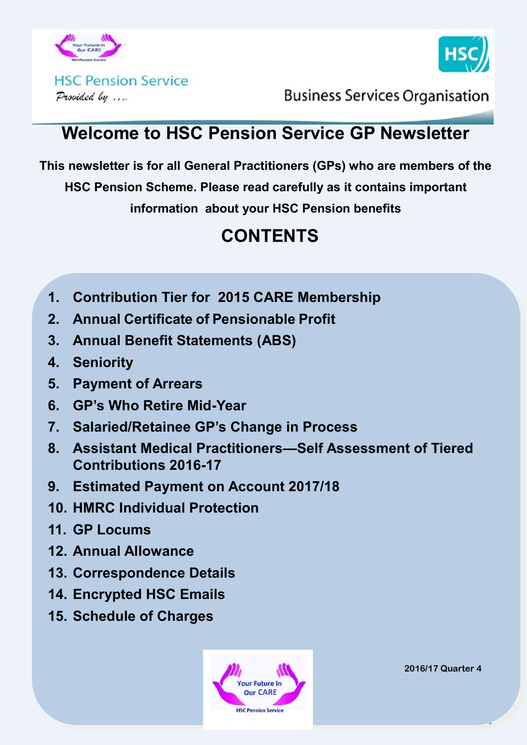



**HSC Pension Service** Provided by ....

**Business Services Organisation** 

## **Welcome to HSC Pension Service GP Newsletter**

**This newsletter is for all General Practitioners (GPs) who are members of the** 

**HSC Pension Scheme. Please read carefully as it contains important** 

**information about your HSC Pension benefits**

## **CONTENTS**

- **1. Contribution Tier for 2015 CARE Membership**
- **2. Annual Certificate of Pensionable Profit**
- **3. Annual Benefit Statements (ABS)**
- **4. Seniority**
- **5. Payment of Arrears**
- **6. GP's Who Retire Mid-Year**
- **7. Salaried/Retainee GP's Change in Process**
- **8. Assistant Medical Practitioners—Self Assessment of Tiered Contributions 2016-17**
- **9. Estimated Payment on Account 2017/18**
- **10. HMRC Individual Protection**
- **11. GP Locums**
- **12. Annual Allowance**
- **13. Correspondence Details**
- **14. Encrypted HSC Emails**
- **15. Schedule of Charges**



**2016/17 Quarter 4**

1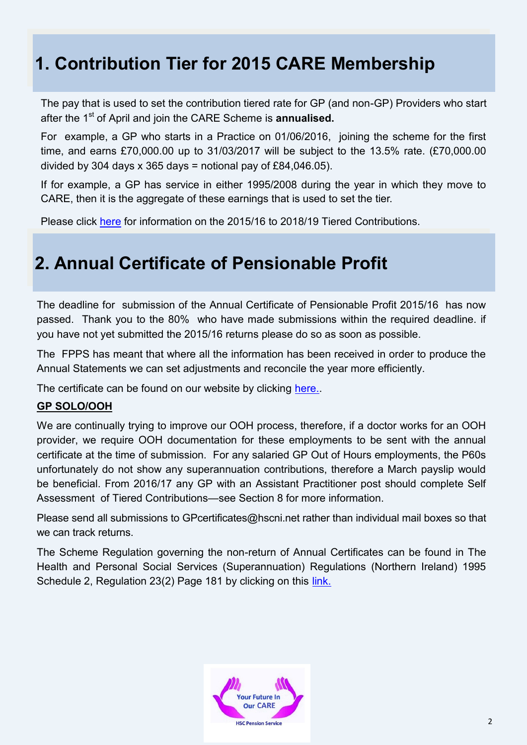## **1. Contribution Tier for 2015 CARE Membership**

The pay that is used to set the contribution tiered rate for GP (and non-GP) Providers who start after the 1<sup>st</sup> of April and join the CARE Scheme is **annualised.** 

For example, a GP who starts in a Practice on 01/06/2016, joining the scheme for the first time, and earns £70,000.00 up to 31/03/2017 will be subject to the 13.5% rate. (£70,000.00 divided by 304 days x 365 days = notional pay of £84,046.05).

If for example, a GP has service in either 1995/2008 during the year in which they move to CARE, then it is the aggregate of these earnings that is used to set the tier.

Please click [here](http://www.hscpensions.hscni.net/download/Members/member_factsheets/Tiered-Contributions-for-Scheme-Years-2015-2016-through-to-2018-2019.pdf) for information on the 2015/16 to 2018/19 Tiered Contributions.

## **2. Annual Certificate of Pensionable Profit**

The deadline for submission of the Annual Certificate of Pensionable Profit 2015/16 has now passed. Thank you to the 80% who have made submissions within the required deadline. if you have not yet submitted the 2015/16 returns please do so as soon as possible.

The FPPS has meant that where all the information has been received in order to produce the Annual Statements we can set adjustments and reconcile the year more efficiently.

The certificate can be found on our website by clicking here.

#### **GP SOLO/OOH**

We are continually trying to improve our OOH process, therefore, if a doctor works for an OOH provider, we require OOH documentation for these employments to be sent with the annual certificate at the time of submission. For any salaried GP Out of Hours employments, the P60s unfortunately do not show any superannuation contributions, therefore a March payslip would be beneficial. From 2016/17 any GP with an Assistant Practitioner post should complete Self Assessment of Tiered Contributions—see Section 8 for more information.

Please send all submissions to GPcertificates@hscni.net rather than individual mail boxes so that we can track returns.

The Scheme Regulation governing the non-return of Annual Certificates can be found in The Health and Personal Social Services (Superannuation) Regulations (Northern Ireland) 1995 Schedule 2, Regulation 23(2) Page 181 by clicking on this [link.](http://www.hscpensions.hscni.net/wp-content/uploads/2015/12/SR2015-123.docx)

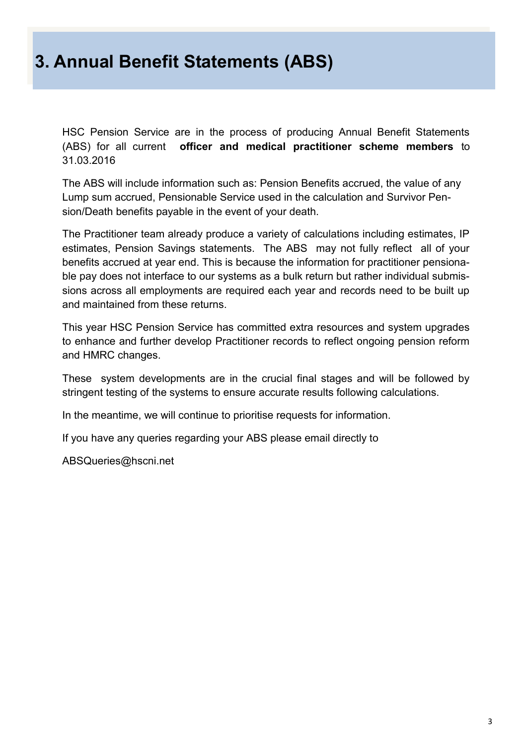#### **3. Annual Benefit Statements (ABS)**

HSC Pension Service are in the process of producing Annual Benefit Statements (ABS) for all current **officer and medical practitioner scheme members** to 31.03.2016

The ABS will include information such as: Pension Benefits accrued, the value of any Lump sum accrued, Pensionable Service used in the calculation and Survivor Pension/Death benefits payable in the event of your death.

The Practitioner team already produce a variety of calculations including estimates, IP estimates, Pension Savings statements. The ABS may not fully reflect all of your benefits accrued at year end. This is because the information for practitioner pensionable pay does not interface to our systems as a bulk return but rather individual submissions across all employments are required each year and records need to be built up and maintained from these returns.

This year HSC Pension Service has committed extra resources and system upgrades to enhance and further develop Practitioner records to reflect ongoing pension reform and HMRC changes.

These system developments are in the crucial final stages and will be followed by stringent testing of the systems to ensure accurate results following calculations.

In the meantime, we will continue to prioritise requests for information.

If you have any queries regarding your ABS please email directly to

ABSQueries@hscni.net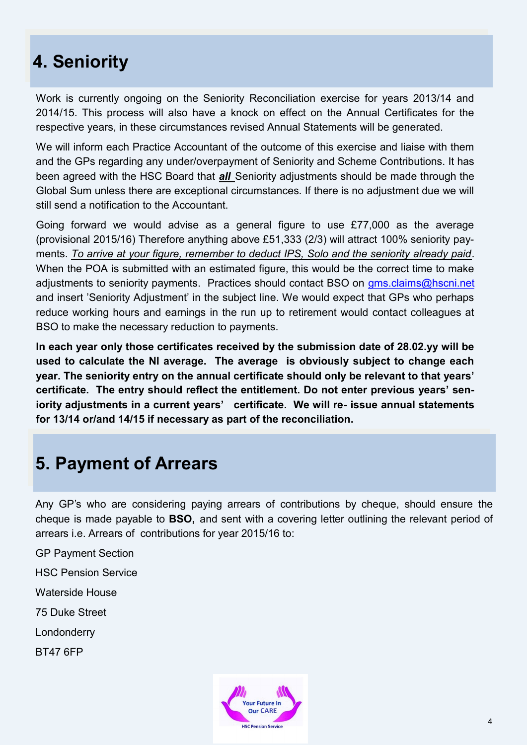## **4. Seniority**

Work is currently ongoing on the Seniority Reconciliation exercise for years 2013/14 and 2014/15. This process will also have a knock on effect on the Annual Certificates for the respective years, in these circumstances revised Annual Statements will be generated.

We will inform each Practice Accountant of the outcome of this exercise and liaise with them and the GPs regarding any under/overpayment of Seniority and Scheme Contributions. It has been agreed with the HSC Board that *all* Seniority adjustments should be made through the Global Sum unless there are exceptional circumstances. If there is no adjustment due we will still send a notification to the Accountant.

Going forward we would advise as a general figure to use £77,000 as the average (provisional 2015/16) Therefore anything above £51,333 (2/3) will attract 100% seniority payments. *To arrive at your figure, remember to deduct IPS, Solo and the seniority already paid*. When the POA is submitted with an estimated figure, this would be the correct time to make adjustments to seniority payments. Practices should contact BSO on gms.claims@hscni.net and insert 'Seniority Adjustment' in the subject line. We would expect that GPs who perhaps reduce working hours and earnings in the run up to retirement would contact colleagues at BSO to make the necessary reduction to payments.

**In each year only those certificates received by the submission date of 28.02.yy will be used to calculate the NI average. The average is obviously subject to change each year. The seniority entry on the annual certificate should only be relevant to that years' certificate. The entry should reflect the entitlement. Do not enter previous years' seniority adjustments in a current years' certificate. We will re- issue annual statements for 13/14 or/and 14/15 if necessary as part of the reconciliation.**

#### **5. Payment of Arrears**

Any GP's who are considering paying arrears of contributions by cheque, should ensure the cheque is made payable to **BSO,** and sent with a covering letter outlining the relevant period of arrears i.e. Arrears of contributions for year 2015/16 to:

GP Payment Section

HSC Pension Service

Waterside House

75 Duke Street

Londonderry

BT47 6FP

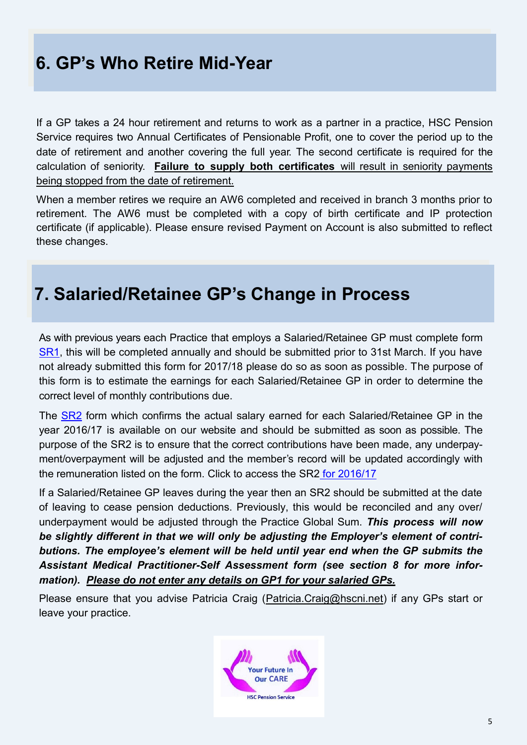## **6. GP's Who Retire Mid-Year**

If a GP takes a 24 hour retirement and returns to work as a partner in a practice, HSC Pension Service requires two Annual Certificates of Pensionable Profit, one to cover the period up to the date of retirement and another covering the full year. The second certificate is required for the calculation of seniority. **Failure to supply both certificates** will result in seniority payments being stopped from the date of retirement.

When a member retires we require an AW6 completed and received in branch 3 months prior to retirement. The AW6 must be completed with a copy of birth certificate and IP protection certificate (if applicable). Please ensure revised Payment on Account is also submitted to reflect these changes.

#### **7. Salaried/Retainee GP's Change in Process**

As with previous years each Practice that employs a Salaried/Retainee GP must complete form [SR1,](http://www.hscpensions.hscni.net/download/Practitioners/SRI-2016-17.pdf) this will be completed annually and should be submitted prior to 31st March. If you have not already submitted this form for 2017/18 please do so as soon as possible. The purpose of this form is to estimate the earnings for each Salaried/Retainee GP in order to determine the correct level of monthly contributions due.

The [SR2](http://www.hscpensions.hscni.net/download/Practitioners/SR2-Form-for-Salaried-GPs-2016-17-Rev-02-17.pdf) form which confirms the actual salary earned for each Salaried/Retainee GP in the year 2016/17 is available on our website and should be submitted as soon as possible. The purpose of the SR2 is to ensure that the correct contributions have been made, any underpayment/overpayment will be adjusted and the member's record will be updated accordingly with the remuneration listed on the form. Click to access the SR2 [for 2016/17](http://www.hscpensions.hscni.net/download/Practitioners/SR2-Form-for-Salaried-GPs-2016-17-Rev-02-17.pdf)

If a Salaried/Retainee GP leaves during the year then an SR2 should be submitted at the date of leaving to cease pension deductions. Previously, this would be reconciled and any over/ underpayment would be adjusted through the Practice Global Sum. *This process will now be slightly different in that we will only be adjusting the Employer's element of contributions. The employee's element will be held until year end when the GP submits the Assistant Medical Practitioner-Self Assessment form (see section 8 for more information). Please do not enter any details on GP1 for your salaried GPs.*

Please ensure that you advise Patricia Craig (Patricia.Craig@hscni.net) if any GPs start or leave your practice.

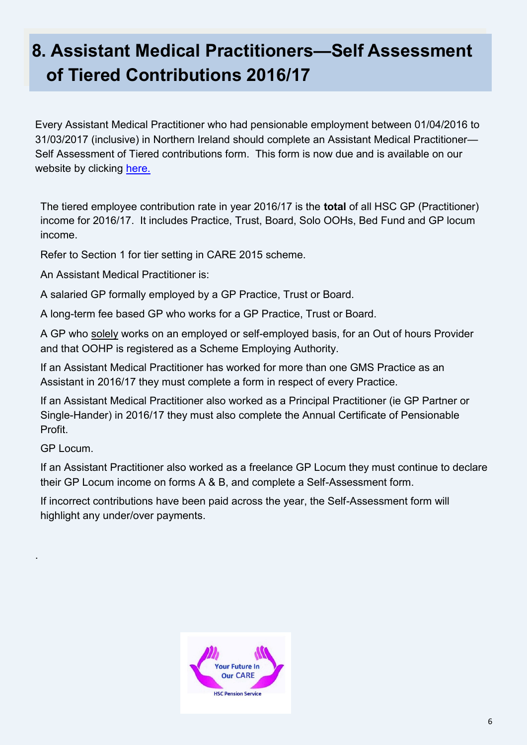# **8. Assistant Medical Practitioners—Self Assessment of Tiered Contributions 2016/17**

Every Assistant Medical Practitioner who had pensionable employment between 01/04/2016 to 31/03/2017 (inclusive) in Northern Ireland should complete an Assistant Medical Practitioner— Self Assessment of Tiered contributions form. This form is now due and is available on our website by clicking [here.](http://www.hscpensions.hscni.net/download/Practitioners/2016-17-SELF-ASSESSMENT-4.xls)

The tiered employee contribution rate in year 2016/17 is the **total** of all HSC GP (Practitioner) income for 2016/17. It includes Practice, Trust, Board, Solo OOHs, Bed Fund and GP locum income.

Refer to Section 1 for tier setting in CARE 2015 scheme.

An Assistant Medical Practitioner is:

A salaried GP formally employed by a GP Practice, Trust or Board.

A long-term fee based GP who works for a GP Practice, Trust or Board.

A GP who solely works on an employed or self-employed basis, for an Out of hours Provider and that OOHP is registered as a Scheme Employing Authority.

If an Assistant Medical Practitioner has worked for more than one GMS Practice as an Assistant in 2016/17 they must complete a form in respect of every Practice.

If an Assistant Medical Practitioner also worked as a Principal Practitioner (ie GP Partner or Single-Hander) in 2016/17 they must also complete the Annual Certificate of Pensionable Profit.

GP Locum.

.

If an Assistant Practitioner also worked as a freelance GP Locum they must continue to declare their GP Locum income on forms A & B, and complete a Self-Assessment form.

If incorrect contributions have been paid across the year, the Self-Assessment form will highlight any under/over payments.

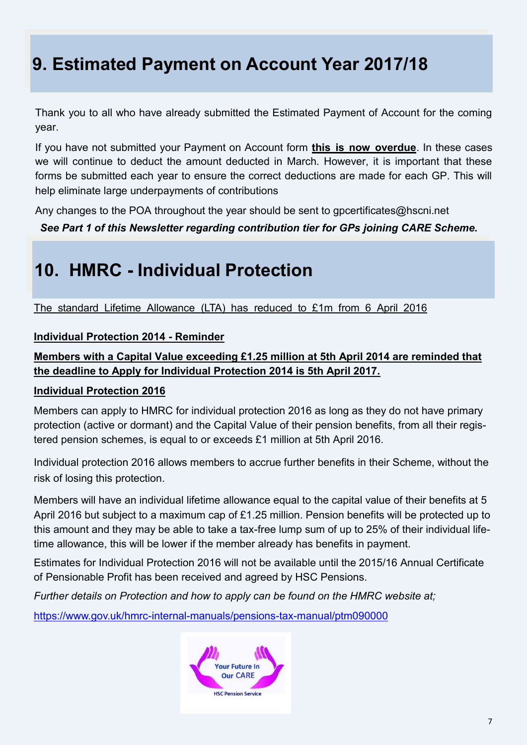# **9. Estimated Payment on Account Year 2017/18**

Thank you to all who have already submitted the Estimated Payment of Account for the coming year.

If you have not submitted your Payment on Account form **this is now overdue**. In these cases we will continue to deduct the amount deducted in March. However, it is important that these forms be submitted each year to ensure the correct deductions are made for each GP. This will help eliminate large underpayments of contributions

Any changes to the POA throughout the year should be sent to gpcertificates@hscni.net

*See Part 1 of this Newsletter regarding contribution tier for GPs joining CARE Scheme.*

## **10. HMRC - Individual Protection**

The standard Lifetime Allowance (LTA) has reduced to £1m from 6 April 2016

#### **Individual Protection 2014 - Reminder**

#### **Members with a Capital Value exceeding £1.25 million at 5th April 2014 are reminded that the deadline to Apply for Individual Protection 2014 is 5th April 2017.**

#### **Individual Protection 2016**

Members can apply to HMRC for individual protection 2016 as long as they do not have primary protection (active or dormant) and the Capital Value of their pension benefits, from all their registered pension schemes, is equal to or exceeds £1 million at 5th April 2016.

Individual protection 2016 allows members to accrue further benefits in their Scheme, without the risk of losing this protection.

Members will have an individual lifetime allowance equal to the capital value of their benefits at 5 April 2016 but subject to a maximum cap of £1.25 million. Pension benefits will be protected up to this amount and they may be able to take a tax-free lump sum of up to 25% of their individual lifetime allowance, this will be lower if the member already has benefits in payment.

Estimates for Individual Protection 2016 will not be available until the 2015/16 Annual Certificate of Pensionable Profit has been received and agreed by HSC Pensions.

*Further details on Protection and how to apply can be found on the HMRC website at;*

[https://www.gov.uk/hmrc](https://www.gov.uk/hmrc-internal-manuals/pensions-tax-manual/ptm090000)-internal-manuals/pensions-tax-manual/ptm090000

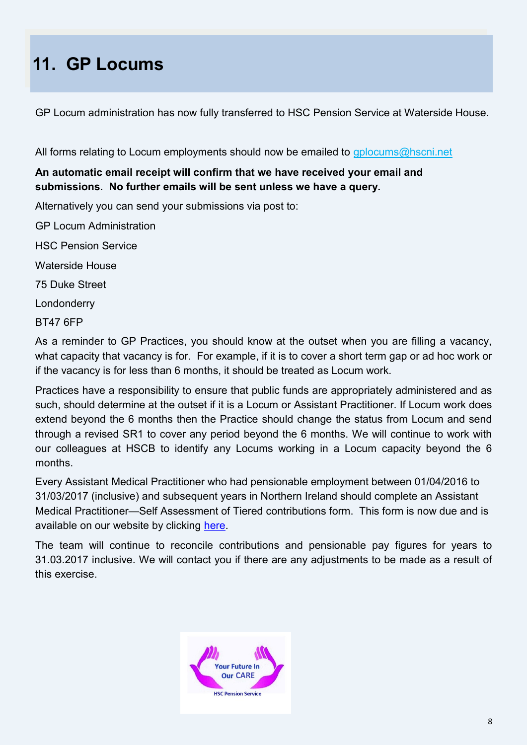# **11. GP Locums**

GP Locum administration has now fully transferred to HSC Pension Service at Waterside House.

All forms relating to Locum employments should now be emailed to gplocums@hscni.net

#### **An automatic email receipt will confirm that we have received your email and submissions. No further emails will be sent unless we have a query.**

Alternatively you can send your submissions via post to:

GP Locum Administration

HSC Pension Service

Waterside House

75 Duke Street

Londonderry

BT47 6FP

As a reminder to GP Practices, you should know at the outset when you are filling a vacancy, what capacity that vacancy is for. For example, if it is to cover a short term gap or ad hoc work or if the vacancy is for less than 6 months, it should be treated as Locum work.

Practices have a responsibility to ensure that public funds are appropriately administered and as such, should determine at the outset if it is a Locum or Assistant Practitioner. If Locum work does extend beyond the 6 months then the Practice should change the status from Locum and send through a revised SR1 to cover any period beyond the 6 months. We will continue to work with our colleagues at HSCB to identify any Locums working in a Locum capacity beyond the 6 months.

Every Assistant Medical Practitioner who had pensionable employment between 01/04/2016 to 31/03/2017 (inclusive) and subsequent years in Northern Ireland should complete an Assistant Medical Practitioner—Self Assessment of Tiered contributions form. This form is now due and is available on our website by clicking [here.](http://www.hscpensions.hscni.net/download/Practitioners/2016-17-SELF-ASSESSMENT-4.xls)

The team will continue to reconcile contributions and pensionable pay figures for years to 31.03.2017 inclusive. We will contact you if there are any adjustments to be made as a result of this exercise.

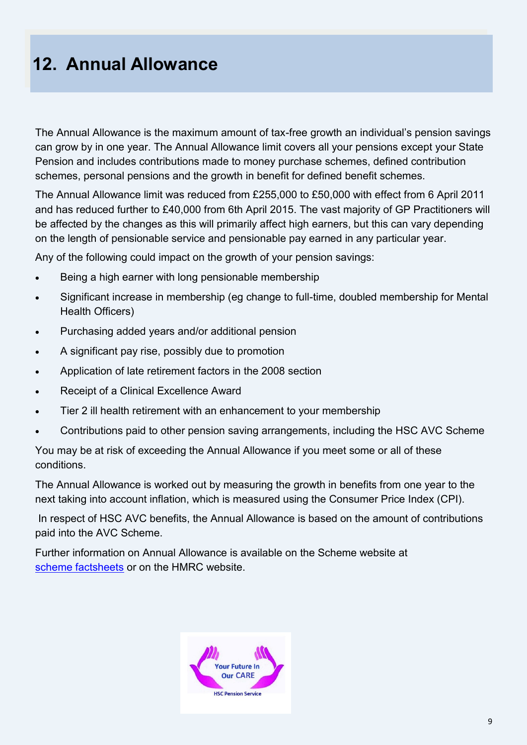# **12. Annual Allowance**

The Annual Allowance is the maximum amount of tax-free growth an individual's pension savings can grow by in one year. The Annual Allowance limit covers all your pensions except your State Pension and includes contributions made to money purchase schemes, defined contribution schemes, personal pensions and the growth in benefit for defined benefit schemes.

The Annual Allowance limit was reduced from £255,000 to £50,000 with effect from 6 April 2011 and has reduced further to £40,000 from 6th April 2015. The vast majority of GP Practitioners will be affected by the changes as this will primarily affect high earners, but this can vary depending on the length of pensionable service and pensionable pay earned in any particular year.

Any of the following could impact on the growth of your pension savings:

- Being a high earner with long pensionable membership
- Significant increase in membership (eg change to full-time, doubled membership for Mental Health Officers)
- Purchasing added years and/or additional pension
- A significant pay rise, possibly due to promotion
- Application of late retirement factors in the 2008 section
- Receipt of a Clinical Excellence Award
- Tier 2 ill health retirement with an enhancement to your membership
- Contributions paid to other pension saving arrangements, including the HSC AVC Scheme

You may be at risk of exceeding the Annual Allowance if you meet some or all of these conditions.

The Annual Allowance is worked out by measuring the growth in benefits from one year to the next taking into account inflation, which is measured using the Consumer Price Index (CPI).

In respect of HSC AVC benefits, the Annual Allowance is based on the amount of contributions paid into the AVC Scheme.

Further information on Annual Allowance is available on the Scheme website at [scheme factsheets](http://www.hscpensions.hscni.net/annual-allowance-2/) or on the HMRC website.

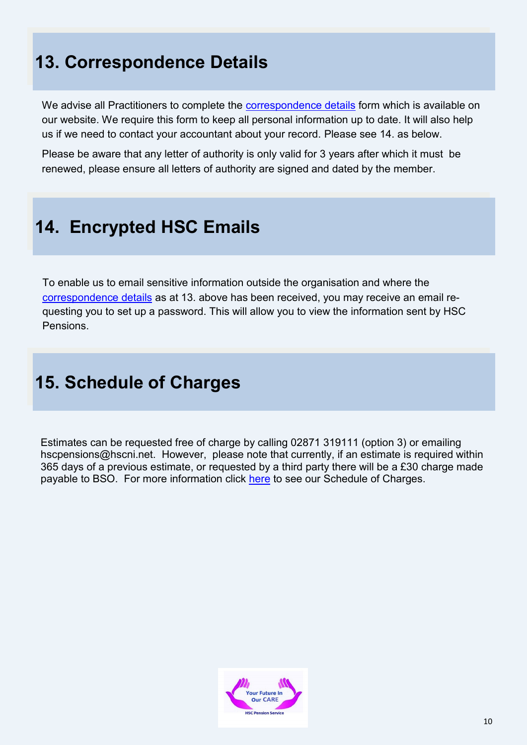# **13. Correspondence Details**

We advise all Practitioners to complete the [correspondence details](http://www.hscpensions.hscni.net/download/CORRESPONDENCE-DETAILS.docx) form which is available on our website. We require this form to keep all personal information up to date. It will also help us if we need to contact your accountant about your record. Please see 14. as below.

Please be aware that any letter of authority is only valid for 3 years after which it must be renewed, please ensure all letters of authority are signed and dated by the member.

### **14. Encrypted HSC Emails**

To enable us to email sensitive information outside the organisation and where the [correspondence details](http://www.hscpensions.hscni.net/download/CORRESPONDENCE-DETAILS.docx) as at 13. above has been received, you may receive an email requesting you to set up a password. This will allow you to view the information sent by HSC Pensions.

### **15. Schedule of Charges**

Estimates can be requested free of charge by calling 02871 319111 (option 3) or emailing hscpensions@hscni.net. However, please note that currently, if an estimate is required within 365 days of a previous estimate, or requested by a third party there will be a £30 charge made payable to BSO. For more information click [here](http://www.hscpensions.hscni.net/download/Scheme%20Forms/employer_forms/Schedule-of-Charges-Member.pdf) to see our Schedule of Charges.